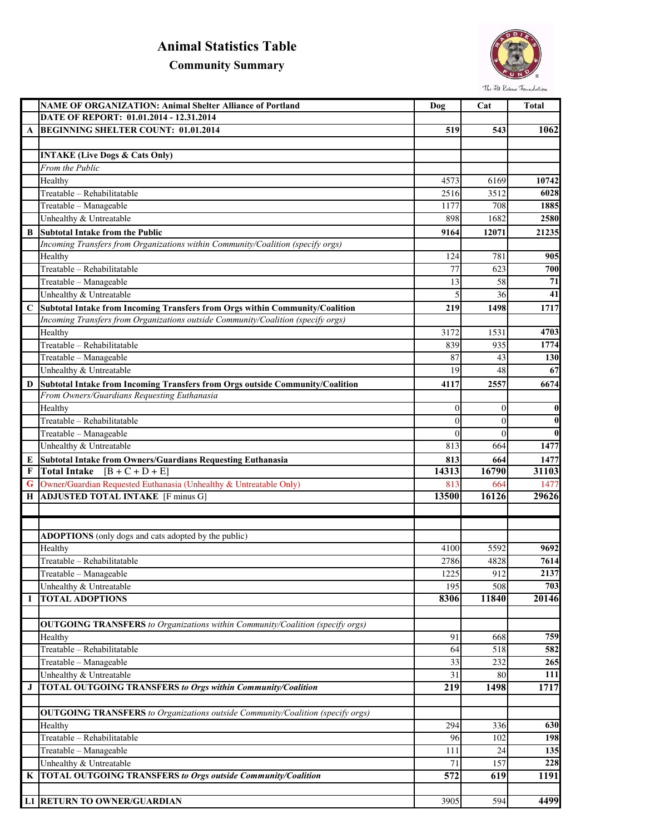## **Animal Statistics Table**

## **Community Summary**



|   | <b>NAME OF ORGANIZATION: Animal Shelter Alliance of Portland</b>                      | Dog              | Cat            | <b>Total</b>     |
|---|---------------------------------------------------------------------------------------|------------------|----------------|------------------|
|   | DATE OF REPORT: 01.01.2014 - 12.31.2014                                               |                  |                |                  |
| A | <b>BEGINNING SHELTER COUNT: 01.01.2014</b>                                            | 519              | 543            | <b>1062</b>      |
|   |                                                                                       |                  |                |                  |
|   | <b>INTAKE (Live Dogs &amp; Cats Only)</b>                                             |                  |                |                  |
|   | From the Public                                                                       |                  |                |                  |
|   | Healthy                                                                               | 4573             | 6169           | 10742            |
|   | Treatable - Rehabilitatable                                                           | 2516             | 3512           | 6028             |
|   | Treatable - Manageable                                                                | 1177             | 708            | 1885             |
|   | Unhealthy & Untreatable                                                               | 898              | 1682           | 2580             |
| B | <b>Subtotal Intake from the Public</b>                                                | 9164             | 12071          | 21235            |
|   | Incoming Transfers from Organizations within Community/Coalition (specify orgs)       |                  |                |                  |
|   | Healthy                                                                               | 124              | 781            | 905              |
|   | Treatable - Rehabilitatable                                                           | 77               | 623            | 700              |
|   | Treatable - Manageable                                                                | 13               | 58             | 71               |
|   | Unhealthy & Untreatable                                                               | 5                | 36             | 41               |
| C | Subtotal Intake from Incoming Transfers from Orgs within Community/Coalition          | 219              | 1498           | 1717             |
|   | Incoming Transfers from Organizations outside Community/Coalition (specify orgs)      |                  |                |                  |
|   | Healthy                                                                               | 3172             | 1531           | 4703             |
|   | Treatable - Rehabilitatable                                                           | 839              | 935            | 1774             |
|   | Treatable - Manageable                                                                | 87               | 43             | 130              |
|   | Unhealthy & Untreatable                                                               | 19               | 48             | 67               |
| D | Subtotal Intake from Incoming Transfers from Orgs outside Community/Coalition         | 4117             | 2557           | 6674             |
|   | From Owners/Guardians Requesting Euthanasia                                           |                  |                |                  |
|   | Healthy                                                                               | $\theta$         | $\theta$       | $\boldsymbol{0}$ |
|   | Treatable - Rehabilitatable                                                           | $\overline{0}$   | $\theta$       | $\bf{0}$         |
|   | Treatable - Manageable                                                                | $\overline{0}$   | $\overline{0}$ | $\bf{0}$         |
|   | Unhealthy & Untreatable                                                               | 813              | 664            | 1477             |
| E | Subtotal Intake from Owners/Guardians Requesting Euthanasia                           | 813              | 664            | 1477             |
| F | Total Intake $[B + C + D + E]$                                                        | 14313            | 16790          | 31103            |
| G | Owner/Guardian Requested Euthanasia (Unhealthy & Untreatable Only)                    | 813<br>13500     | 664<br>16126   | 1477<br>29626    |
| Н | <b>ADJUSTED TOTAL INTAKE</b> [F minus G]                                              |                  |                |                  |
|   |                                                                                       |                  |                |                  |
|   |                                                                                       |                  |                |                  |
|   | <b>ADOPTIONS</b> (only dogs and cats adopted by the public)                           |                  |                |                  |
|   | Healthy                                                                               | 4100             | 5592           | 9692             |
|   | Treatable - Rehabilitatable                                                           | 2786             | 4828           | 7614             |
|   | Treatable - Manageable                                                                | 1225             | 912            | 2137             |
|   | Unhealthy & Untreatable                                                               | 195              | 508            | 703              |
| I | <b>TOTAL ADOPTIONS</b>                                                                | 8306             | 11840          | 20146            |
|   |                                                                                       |                  |                |                  |
|   | <b>OUTGOING TRANSFERS</b> to Organizations within Community/Coalition (specify orgs)  |                  |                | 759              |
|   | Healthy<br>Treatable - Rehabilitatable                                                | 91               | 668            | 582              |
|   |                                                                                       | 64               | 518            |                  |
|   | Treatable - Manageable                                                                | 33               | 232            | 265              |
|   | Unhealthy & Untreatable                                                               | 31               | 80             | 111              |
| J | <b>TOTAL OUTGOING TRANSFERS to Orgs within Community/Coalition</b>                    | 219              | 1498           | 1717             |
|   |                                                                                       |                  |                |                  |
|   | <b>OUTGOING TRANSFERS</b> to Organizations outside Community/Coalition (specify orgs) |                  |                |                  |
|   | Healthy                                                                               | 294              | 336            | 630              |
|   | Treatable - Rehabilitatable                                                           | 96               | 102            | 198              |
|   | Treatable - Manageable                                                                | 111              | 24             | 135              |
|   | Unhealthy & Untreatable                                                               | 71               | 157            | 228              |
| K | <b>TOTAL OUTGOING TRANSFERS to Orgs outside Community/Coalition</b>                   | $\overline{572}$ | 619            | 1191             |
|   |                                                                                       |                  |                |                  |
|   | L1 RETURN TO OWNER/GUARDIAN                                                           | 3905             | 594            | 4499             |